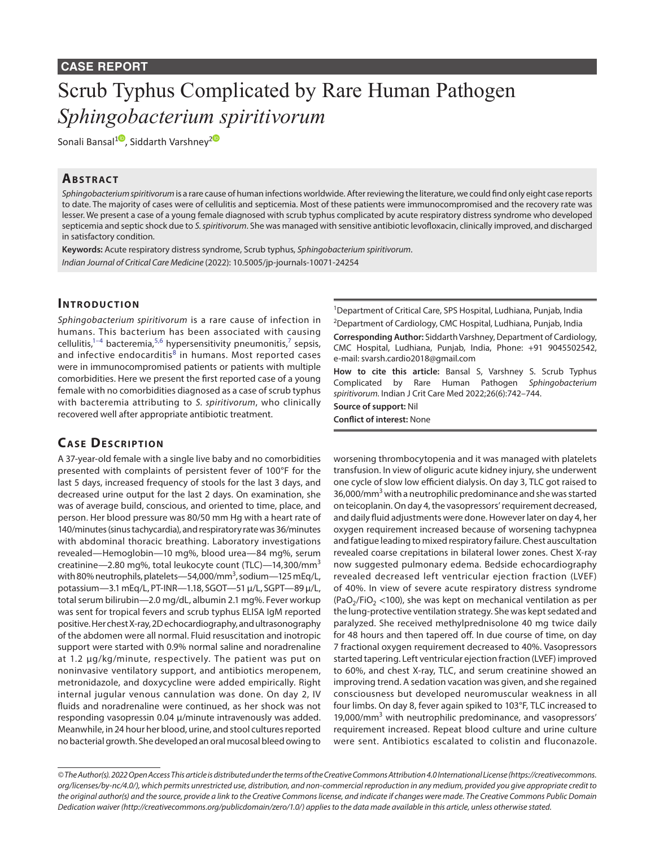# Scrub Typhus Complicated by Rare Human Pathogen *Sphingobacterium spiritivorum*

Sonali Bansal<sup>10</sup>[,](https://orcid.org/0000-0002-3569-8424) Siddarth Varshney<sup>[2](https://orcid.org/0000-0003-3904-8039)0</sup>

#### **ABSTRACT**

*Sphingobacterium spiritivorum* is a rare cause of human infections worldwide. After reviewing the literature, we could find only eight case reports to date. The majority of cases were of cellulitis and septicemia. Most of these patients were immunocompromised and the recovery rate was lesser. We present a case of a young female diagnosed with scrub typhus complicated by acute respiratory distress syndrome who developed septicemia and septic shock due to *S. spiritivorum*. She was managed with sensitive antibiotic levofloxacin, clinically improved, and discharged in satisfactory condition.

**Keywords:** Acute respiratory distress syndrome, Scrub typhus, *Sphingobacterium spiritivorum*. *Indian Journal of Critical Care Medicine* (2022): 10.5005/jp-journals-10071-24254

#### **INTRODUCTION**

*Sphingobacterium spiritivorum* is a rare cause of infection in humans. This bacterium has been associated with causing cellulitis, $1-4$  $1-4$  bacteremia, $5,6$  $5,6$  hypersensitivity pneumonitis, $7$  sepsis, and infective endocarditis<sup>[8](#page-2-5)</sup> in humans. Most reported cases were in immunocompromised patients or patients with multiple comorbidities. Here we present the first reported case of a young female with no comorbidities diagnosed as a case of scrub typhus with bacteremia attributing to *S. spiritivorum*, who clinically recovered well after appropriate antibiotic treatment.

### **CASE DESCRIPTION**

A 37-year-old female with a single live baby and no comorbidities presented with complaints of persistent fever of 100°F for the last 5 days, increased frequency of stools for the last 3 days, and decreased urine output for the last 2 days. On examination, she was of average build, conscious, and oriented to time, place, and person. Her blood pressure was 80/50 mm Hg with a heart rate of 140/minutes (sinus tachycardia), and respiratory rate was 36/minutes with abdominal thoracic breathing. Laboratory investigations revealed—Hemoglobin—10 mg%, blood urea—84 mg%, serum creatinine—2.80 mg%, total leukocyte count (TLC)—14,300/mm<sup>3</sup> with 80% neutrophils, platelets—54,000/mm<sup>3</sup>, sodium—125 mEq/L, potassium—3.1 mEq/L, PT-INR—1.18, SGOT—51 µ/L, SGPT—89 µ/L, total serum bilirubin—2.0 mg/dL, albumin 2.1 mg%. Fever workup was sent for tropical fevers and scrub typhus ELISA IgM reported positive. Her chest X-ray, 2D echocardiography, and ultrasonography of the abdomen were all normal. Fluid resuscitation and inotropic support were started with 0.9% normal saline and noradrenaline at 1.2 µg/kg/minute, respectively. The patient was put on noninvasive ventilatory support, and antibiotics meropenem, metronidazole, and doxycycline were added empirically. Right internal jugular venous cannulation was done. On day 2, IV fluids and noradrenaline were continued, as her shock was not responding vasopressin 0.04 µ/minute intravenously was added. Meanwhile, in 24 hour her blood, urine, and stool cultures reported no bacterial growth. She developed an oral mucosal bleed owing to

<sup>1</sup>Department of Critical Care, SPS Hospital, Ludhiana, Punjab, India

<sup>2</sup>Department of Cardiology, CMC Hospital, Ludhiana, Punjab, India **Corresponding Author:** Siddarth Varshney, Department of Cardiology, CMC Hospital, Ludhiana, Punjab, India, Phone: +91 9045502542, e-mail: svarsh.cardio2018@gmail.com

**How to cite this article:** Bansal S, Varshney S. Scrub Typhus Complicated by Rare Human Pathogen *Sphingobacterium spiritivorum.* Indian J Crit Care Med 2022;26(6):742–744.

**Source of support:** Nil **Conflict of interest:** None

worsening thrombocytopenia and it was managed with platelets transfusion. In view of oliguric acute kidney injury, she underwent one cycle of slow low efficient dialysis. On day 3, TLC got raised to 36,000/mm<sup>3</sup> with a neutrophilic predominance and she was started on teicoplanin. On day 4, the vasopressors' requirement decreased, and daily fluid adjustments were done. However later on day 4, her oxygen requirement increased because of worsening tachypnea and fatigue leading to mixed respiratory failure. Chest auscultation revealed coarse crepitations in bilateral lower zones. Chest X-ray now suggested pulmonary edema. Bedside echocardiography revealed decreased left ventricular ejection fraction (LVEF) of 40%. In view of severe acute respiratory distress syndrome (PaO<sub>2</sub>/FiO<sub>2</sub> <100), she was kept on mechanical ventilation as per the lung-protective ventilation strategy. She was kept sedated and paralyzed. She received methylprednisolone 40 mg twice daily for 48 hours and then tapered off. In due course of time, on day 7 fractional oxygen requirement decreased to 40%. Vasopressors started tapering. Left ventricular ejection fraction (LVEF) improved to 60%, and chest X-ray, TLC, and serum creatinine showed an improving trend. A sedation vacation was given, and she regained consciousness but developed neuromuscular weakness in all four limbs. On day 8, fever again spiked to 103°F, TLC increased to 19,000/mm<sup>3</sup> with neutrophilic predominance, and vasopressors' requirement increased. Repeat blood culture and urine culture were sent. Antibiotics escalated to colistin and fluconazole.

*<sup>©</sup> The Author(s). 2022 Open Access This article is distributed under the terms of the Creative Commons Attribution 4.0 International License ([https://creativecommons.](https://creativecommons.org/licenses/by-nc/4.0/) [org/licenses/by-nc/4.0/](https://creativecommons.org/licenses/by-nc/4.0/)), which permits unrestricted use, distribution, and non-commercial reproduction in any medium, provided you give appropriate credit to the original author(s) and the source, provide a link to the Creative Commons license, and indicate if changes were made. The Creative Commons Public Domain Dedication waiver ([http://creativecommons.org/publicdomain/zero/1.0/\)](http://creativecommons.org/publicdomain/zero/1.0/) applies to the data made available in this article, unless otherwise stated.*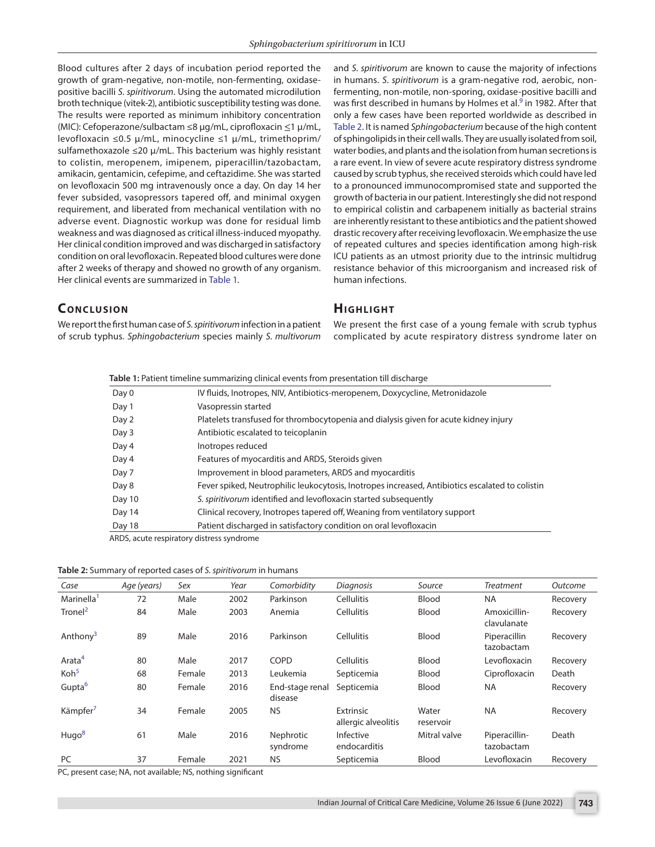Blood cultures after 2 days of incubation period reported the growth of gram-negative, non-motile, non-fermenting, oxidasepositive bacilli *S. spiritivorum*. Using the automated microdilution broth technique (vitek-2), antibiotic susceptibility testing was done. The results were reported as minimum inhibitory concentration (MIC): Cefoperazone/sulbactam ≤8 µg/mL, ciprofloxacin ≤1 µ/mL, levofloxacin ≤0.5 µ/mL, minocycline ≤1 µ/mL, trimethoprim/ sulfamethoxazole  $\leq 20 \mu/m$ L. This bacterium was highly resistant to colistin, meropenem, imipenem, piperacillin/tazobactam, amikacin, gentamicin, cefepime, and ceftazidime. She was started on levofloxacin 500 mg intravenously once a day. On day 14 her fever subsided, vasopressors tapered off, and minimal oxygen requirement, and liberated from mechanical ventilation with no adverse event. Diagnostic workup was done for residual limb weakness and was diagnosed as critical illness-induced myopathy. Her clinical condition improved and was discharged in satisfactory condition on oral levofloxacin. Repeated blood cultures were done after 2 weeks of therapy and showed no growth of any organism. Her clinical events are summarized in [Table 1.](#page-1-0)

and *S. spiritivorum* are known to cause the majority of infections in humans. *S. spiritivorum* is a gram-negative rod, aerobic, nonfermenting, non-motile, non-sporing, oxidase-positive bacilli and was first described in humans by Holmes et al.<sup>[9](#page-2-6)</sup> in 1982. After that only a few cases have been reported worldwide as described in [Table 2](#page-1-1). It is named *Sphingobacterium* because of the high content of sphingolipids in their cell walls. They are usually isolated from soil, water bodies, and plants and the isolation from human secretions is a rare event. In view of severe acute respiratory distress syndrome caused by scrub typhus, she received steroids which could have led to a pronounced immunocompromised state and supported the growth of bacteria in our patient. Interestingly she did not respond to empirical colistin and carbapenem initially as bacterial strains are inherently resistant to these antibiotics and the patient showed drastic recovery after receiving levofloxacin. We emphasize the use of repeated cultures and species identification among high-risk ICU patients as an utmost priority due to the intrinsic multidrug resistance behavior of this microorganism and increased risk of human infections.

## **CONCLUSION**

We report the first human case of *S. spiritivorum* infection in a patient of scrub typhus. *Sphingobacterium* species mainly *S. multivorum*

#### **Highlight**

We present the first case of a young female with scrub typhus complicated by acute respiratory distress syndrome later on

<span id="page-1-0"></span>

| <b>Table 1:</b> Patient timeline summarizing clinical events from presentation till discharge |                                                                                                 |  |  |  |  |
|-----------------------------------------------------------------------------------------------|-------------------------------------------------------------------------------------------------|--|--|--|--|
| Day 0                                                                                         | IV fluids, Inotropes, NIV, Antibiotics-meropenem, Doxycycline, Metronidazole                    |  |  |  |  |
| Day 1                                                                                         | Vasopressin started                                                                             |  |  |  |  |
| Day 2                                                                                         | Platelets transfused for thrombocytopenia and dialysis given for acute kidney injury            |  |  |  |  |
| Day 3                                                                                         | Antibiotic escalated to teicoplanin                                                             |  |  |  |  |
| Day 4                                                                                         | Inotropes reduced                                                                               |  |  |  |  |
| Day 4                                                                                         | Features of myocarditis and ARDS, Steroids given                                                |  |  |  |  |
| Day 7                                                                                         | Improvement in blood parameters, ARDS and myocarditis                                           |  |  |  |  |
| Day 8                                                                                         | Fever spiked, Neutrophilic leukocytosis, Inotropes increased, Antibiotics escalated to colistin |  |  |  |  |
| Day 10                                                                                        | S. spiritivorum identified and levofloxacin started subsequently                                |  |  |  |  |
| Day 14                                                                                        | Clinical recovery, Inotropes tapered off, Weaning from ventilatory support                      |  |  |  |  |
| Day 18                                                                                        | Patient discharged in satisfactory condition on oral levofloxacin                               |  |  |  |  |

ARDS, acute respiratory distress syndrome

<span id="page-1-1"></span>

| Table 2: Summary of reported cases of S. spiritivorum in humans |  |  |  |  |
|-----------------------------------------------------------------|--|--|--|--|
|-----------------------------------------------------------------|--|--|--|--|

| Case                   | Age (years) | Sex    | Year | Comorbidity                | <b>Diagnosis</b>                 | Source             | Treatment                   | Outcome  |
|------------------------|-------------|--------|------|----------------------------|----------------------------------|--------------------|-----------------------------|----------|
| Marinella <sup>1</sup> | 72          | Male   | 2002 | Parkinson                  | <b>Cellulitis</b>                | Blood              | <b>NA</b>                   | Recovery |
| Tronel $^2$            | 84          | Male   | 2003 | Anemia                     | <b>Cellulitis</b>                | Blood              | Amoxicillin-<br>clavulanate | Recovery |
| Anthony <sup>3</sup>   | 89          | Male   | 2016 | Parkinson                  | <b>Cellulitis</b>                | Blood              | Piperacillin<br>tazobactam  | Recovery |
| Arata <sup>4</sup>     | 80          | Male   | 2017 | COPD                       | <b>Cellulitis</b>                | Blood              | Levofloxacin                | Recovery |
| $K$ oh <sup>5</sup>    | 68          | Female | 2013 | Leukemia                   | Septicemia                       | Blood              | Ciprofloxacin               | Death    |
| Gupta <sup>6</sup>     | 80          | Female | 2016 | End-stage renal<br>disease | Septicemia                       | Blood              | <b>NA</b>                   | Recovery |
| Kämpfer                | 34          | Female | 2005 | <b>NS</b>                  | Extrinsic<br>allergic alveolitis | Water<br>reservoir | <b>NA</b>                   | Recovery |
| Hugo <sup>8</sup>      | 61          | Male   | 2016 | Nephrotic<br>syndrome      | Infective<br>endocarditis        | Mitral valve       | Piperacillin-<br>tazobactam | Death    |
| <b>PC</b>              | 37          | Female | 2021 | <b>NS</b>                  | Septicemia                       | Blood              | Levofloxacin                | Recovery |

PC, present case; NA, not available; NS, nothing significant